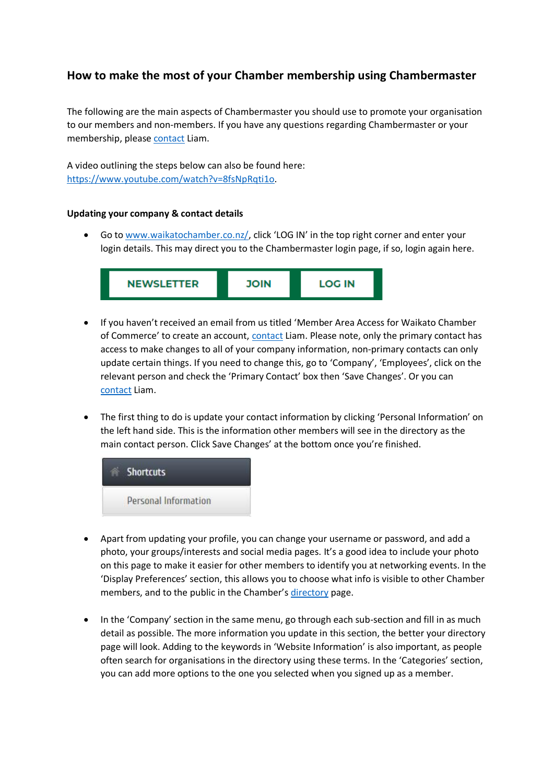# **How to make the most of your Chamber membership using Chambermaster**

The following are the main aspects of Chambermaster you should use to promote your organisation to our members and non-members. If you have any questions regarding Chambermaster or your membership, please [contact](mailto:liam.rodden@waikatochamber.co.nz) Liam.

A video outlining the steps below can also be found here: [https://www.youtube.com/watch?v=8fsNpRqti1o.](https://www.youtube.com/watch?v=8fsNpRqti1o)

### **Updating your company & contact details**

• Go to [www.waikatochamber.co.nz/,](http://www.waikatochamber.co.nz/) click 'LOG IN' in the top right corner and enter your login details. This may direct you to the Chambermaster login page, if so, login again here.



- If you haven't received an email from us titled 'Member Area Access for Waikato Chamber of Commerce' to create an account, [contact](mailto:liam.rodden@waikatochamber.co.nz) Liam. Please note, only the primary contact has access to make changes to all of your company information, non-primary contacts can only update certain things. If you need to change this, go to 'Company', 'Employees', click on the relevant person and check the 'Primary Contact' box then 'Save Changes'. Or you can [contact](mailto:liam.rodden@waikatochamber.co.nz) Liam.
- The first thing to do is update your contact information by clicking 'Personal Information' on the left hand side. This is the information other members will see in the directory as the main contact person. Click Save Changes' at the bottom once you're finished.



- Apart from updating your profile, you can change your username or password, and add a photo, your groups/interests and social media pages. It's a good idea to include your photo on this page to make it easier for other members to identify you at networking events. In the 'Display Preferences' section, this allows you to choose what info is visible to other Chamber members, and to the public in the Chamber's [directory](https://business.waikatochamber.co.nz/list/) page.
- In the 'Company' section in the same menu, go through each sub-section and fill in as much detail as possible. The more information you update in this section, the better your directory page will look. Adding to the keywords in 'Website Information' is also important, as people often search for organisations in the directory using these terms. In the 'Categories' section, you can add more options to the one you selected when you signed up as a member.